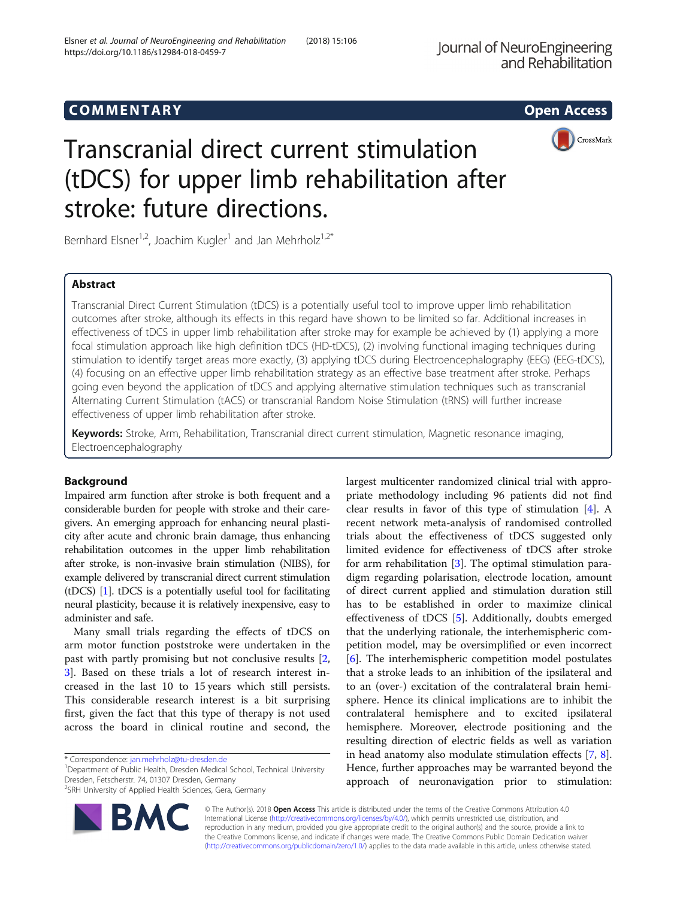## COMM EN TARY Open Access



# Transcranial direct current stimulation (tDCS) for upper limb rehabilitation after stroke: future directions.

Bernhard Elsner<sup>1,2</sup>, Joachim Kugler<sup>1</sup> and Jan Mehrholz<sup>1,2\*</sup>

## Abstract

Transcranial Direct Current Stimulation (tDCS) is a potentially useful tool to improve upper limb rehabilitation outcomes after stroke, although its effects in this regard have shown to be limited so far. Additional increases in effectiveness of tDCS in upper limb rehabilitation after stroke may for example be achieved by (1) applying a more focal stimulation approach like high definition tDCS (HD-tDCS), (2) involving functional imaging techniques during stimulation to identify target areas more exactly, (3) applying tDCS during Electroencephalography (EEG) (EEG-tDCS), (4) focusing on an effective upper limb rehabilitation strategy as an effective base treatment after stroke. Perhaps going even beyond the application of tDCS and applying alternative stimulation techniques such as transcranial Alternating Current Stimulation (tACS) or transcranial Random Noise Stimulation (tRNS) will further increase effectiveness of upper limb rehabilitation after stroke.

Keywords: Stroke, Arm, Rehabilitation, Transcranial direct current stimulation, Magnetic resonance imaging, Electroencephalography

## Background

Impaired arm function after stroke is both frequent and a considerable burden for people with stroke and their caregivers. An emerging approach for enhancing neural plasticity after acute and chronic brain damage, thus enhancing rehabilitation outcomes in the upper limb rehabilitation after stroke, is non-invasive brain stimulation (NIBS), for example delivered by transcranial direct current stimulation (tDCS) [[1](#page-2-0)]. tDCS is a potentially useful tool for facilitating neural plasticity, because it is relatively inexpensive, easy to administer and safe.

Many small trials regarding the effects of tDCS on arm motor function poststroke were undertaken in the past with partly promising but not conclusive results [\[2](#page-2-0), [3\]](#page-2-0). Based on these trials a lot of research interest increased in the last 10 to 15 years which still persists. This considerable research interest is a bit surprising first, given the fact that this type of therapy is not used across the board in clinical routine and second, the

R,

<sup>1</sup>Department of Public Health, Dresden Medical School, Technical University Dresden, Fetscherstr. 74, 01307 Dresden, Germany



© The Author(s). 2018 Open Access This article is distributed under the terms of the Creative Commons Attribution 4.0 International License [\(http://creativecommons.org/licenses/by/4.0/](http://creativecommons.org/licenses/by/4.0/)), which permits unrestricted use, distribution, and reproduction in any medium, provided you give appropriate credit to the original author(s) and the source, provide a link to the Creative Commons license, and indicate if changes were made. The Creative Commons Public Domain Dedication waiver [\(http://creativecommons.org/publicdomain/zero/1.0/](http://creativecommons.org/publicdomain/zero/1.0/)) applies to the data made available in this article, unless otherwise stated.

<sup>\*</sup> Correspondence: [jan.mehrholz@tu-dresden.de](mailto:jan.mehrholz@tu-dresden.de) <sup>1</sup>

<sup>&</sup>lt;sup>2</sup>SRH University of Applied Health Sciences, Gera, Germany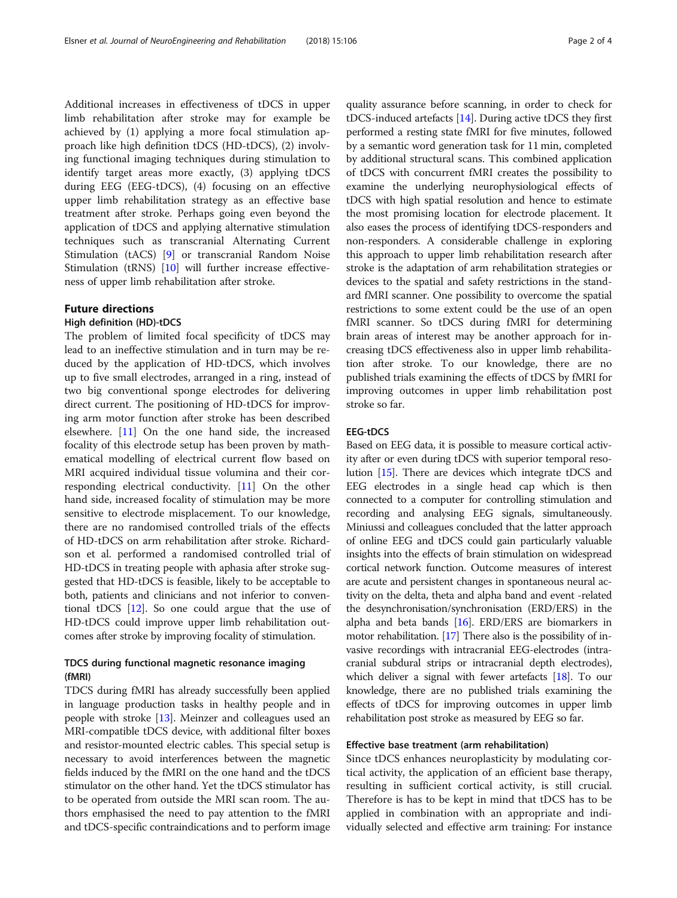Additional increases in effectiveness of tDCS in upper limb rehabilitation after stroke may for example be achieved by (1) applying a more focal stimulation approach like high definition tDCS (HD-tDCS), (2) involving functional imaging techniques during stimulation to identify target areas more exactly, (3) applying tDCS during EEG (EEG-tDCS), (4) focusing on an effective upper limb rehabilitation strategy as an effective base treatment after stroke. Perhaps going even beyond the application of tDCS and applying alternative stimulation techniques such as transcranial Alternating Current Stimulation (tACS) [\[9](#page-2-0)] or transcranial Random Noise Stimulation (tRNS) [\[10\]](#page-2-0) will further increase effectiveness of upper limb rehabilitation after stroke.

## Future directions

#### High definition (HD)-tDCS

The problem of limited focal specificity of tDCS may lead to an ineffective stimulation and in turn may be reduced by the application of HD-tDCS, which involves up to five small electrodes, arranged in a ring, instead of two big conventional sponge electrodes for delivering direct current. The positioning of HD-tDCS for improving arm motor function after stroke has been described elsewhere. [\[11](#page-2-0)] On the one hand side, the increased focality of this electrode setup has been proven by mathematical modelling of electrical current flow based on MRI acquired individual tissue volumina and their corresponding electrical conductivity. [\[11\]](#page-2-0) On the other hand side, increased focality of stimulation may be more sensitive to electrode misplacement. To our knowledge, there are no randomised controlled trials of the effects of HD-tDCS on arm rehabilitation after stroke. Richardson et al. performed a randomised controlled trial of HD-tDCS in treating people with aphasia after stroke suggested that HD-tDCS is feasible, likely to be acceptable to both, patients and clinicians and not inferior to conventional tDCS [\[12\]](#page-2-0). So one could argue that the use of HD-tDCS could improve upper limb rehabilitation outcomes after stroke by improving focality of stimulation.

## TDCS during functional magnetic resonance imaging (fMRI)

TDCS during fMRI has already successfully been applied in language production tasks in healthy people and in people with stroke [[13](#page-3-0)]. Meinzer and colleagues used an MRI-compatible tDCS device, with additional filter boxes and resistor-mounted electric cables. This special setup is necessary to avoid interferences between the magnetic fields induced by the fMRI on the one hand and the tDCS stimulator on the other hand. Yet the tDCS stimulator has to be operated from outside the MRI scan room. The authors emphasised the need to pay attention to the fMRI and tDCS-specific contraindications and to perform image

quality assurance before scanning, in order to check for tDCS-induced artefacts [\[14](#page-3-0)]. During active tDCS they first performed a resting state fMRI for five minutes, followed by a semantic word generation task for 11 min, completed by additional structural scans. This combined application of tDCS with concurrent fMRI creates the possibility to examine the underlying neurophysiological effects of tDCS with high spatial resolution and hence to estimate the most promising location for electrode placement. It also eases the process of identifying tDCS-responders and non-responders. A considerable challenge in exploring this approach to upper limb rehabilitation research after stroke is the adaptation of arm rehabilitation strategies or devices to the spatial and safety restrictions in the standard fMRI scanner. One possibility to overcome the spatial restrictions to some extent could be the use of an open fMRI scanner. So tDCS during fMRI for determining brain areas of interest may be another approach for increasing tDCS effectiveness also in upper limb rehabilitation after stroke. To our knowledge, there are no published trials examining the effects of tDCS by fMRI for improving outcomes in upper limb rehabilitation post stroke so far.

#### EEG-tDCS

Based on EEG data, it is possible to measure cortical activity after or even during tDCS with superior temporal resolution [\[15\]](#page-3-0). There are devices which integrate tDCS and EEG electrodes in a single head cap which is then connected to a computer for controlling stimulation and recording and analysing EEG signals, simultaneously. Miniussi and colleagues concluded that the latter approach of online EEG and tDCS could gain particularly valuable insights into the effects of brain stimulation on widespread cortical network function. Outcome measures of interest are acute and persistent changes in spontaneous neural activity on the delta, theta and alpha band and event -related the desynchronisation/synchronisation (ERD/ERS) in the alpha and beta bands [[16](#page-3-0)]. ERD/ERS are biomarkers in motor rehabilitation. [\[17](#page-3-0)] There also is the possibility of invasive recordings with intracranial EEG-electrodes (intracranial subdural strips or intracranial depth electrodes), which deliver a signal with fewer artefacts [\[18\]](#page-3-0). To our knowledge, there are no published trials examining the effects of tDCS for improving outcomes in upper limb rehabilitation post stroke as measured by EEG so far.

#### Effective base treatment (arm rehabilitation)

Since tDCS enhances neuroplasticity by modulating cortical activity, the application of an efficient base therapy, resulting in sufficient cortical activity, is still crucial. Therefore is has to be kept in mind that tDCS has to be applied in combination with an appropriate and individually selected and effective arm training: For instance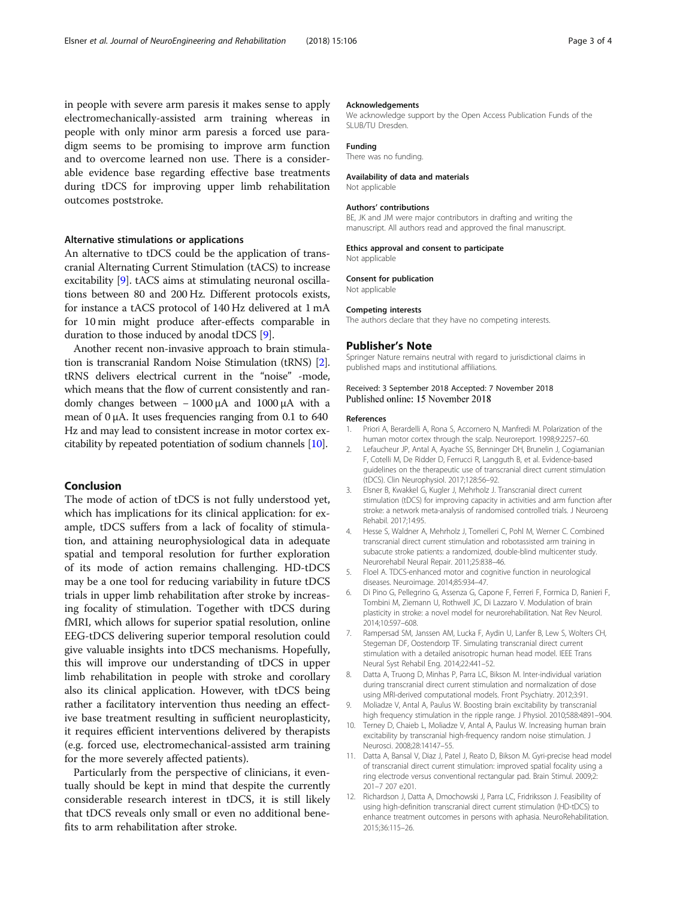<span id="page-2-0"></span>in people with severe arm paresis it makes sense to apply electromechanically-assisted arm training whereas in people with only minor arm paresis a forced use paradigm seems to be promising to improve arm function and to overcome learned non use. There is a considerable evidence base regarding effective base treatments during tDCS for improving upper limb rehabilitation outcomes poststroke.

#### Alternative stimulations or applications

An alternative to tDCS could be the application of transcranial Alternating Current Stimulation (tACS) to increase excitability [9]. tACS aims at stimulating neuronal oscillations between 80 and 200 Hz. Different protocols exists, for instance a tACS protocol of 140 Hz delivered at 1 mA for 10 min might produce after-effects comparable in duration to those induced by anodal tDCS [9].

Another recent non-invasive approach to brain stimulation is transcranial Random Noise Stimulation (tRNS) [2]. tRNS delivers electrical current in the "noise" -mode, which means that the flow of current consistently and randomly changes between  $-1000 \mu A$  and  $1000 \mu A$  with a mean of 0 μA. It uses frequencies ranging from 0.1 to 640 Hz and may lead to consistent increase in motor cortex excitability by repeated potentiation of sodium channels [10].

### Conclusion

The mode of action of tDCS is not fully understood yet, which has implications for its clinical application: for example, tDCS suffers from a lack of focality of stimulation, and attaining neurophysiological data in adequate spatial and temporal resolution for further exploration of its mode of action remains challenging. HD-tDCS may be a one tool for reducing variability in future tDCS trials in upper limb rehabilitation after stroke by increasing focality of stimulation. Together with tDCS during fMRI, which allows for superior spatial resolution, online EEG-tDCS delivering superior temporal resolution could give valuable insights into tDCS mechanisms. Hopefully, this will improve our understanding of tDCS in upper limb rehabilitation in people with stroke and corollary also its clinical application. However, with tDCS being rather a facilitatory intervention thus needing an effective base treatment resulting in sufficient neuroplasticity, it requires efficient interventions delivered by therapists (e.g. forced use, electromechanical-assisted arm training for the more severely affected patients).

Particularly from the perspective of clinicians, it eventually should be kept in mind that despite the currently considerable research interest in tDCS, it is still likely that tDCS reveals only small or even no additional benefits to arm rehabilitation after stroke.

#### Acknowledgements

We acknowledge support by the Open Access Publication Funds of the SLUB/TU Dresden.

#### Funding

There was no funding.

#### Availability of data and materials

Not applicable

#### Authors' contributions

BE, JK and JM were major contributors in drafting and writing the manuscript. All authors read and approved the final manuscript.

#### Ethics approval and consent to participate

Not applicable

## Consent for publication

Not applicable

#### Competing interests

The authors declare that they have no competing interests.

#### Publisher's Note

Springer Nature remains neutral with regard to jurisdictional claims in published maps and institutional affiliations.

#### Received: 3 September 2018 Accepted: 7 November 2018 Published online: 15 November 2018

#### References

- 1. Priori A, Berardelli A, Rona S, Accornero N, Manfredi M. Polarization of the human motor cortex through the scalp. Neuroreport. 1998;9:2257–60.
- 2. Lefaucheur JP, Antal A, Ayache SS, Benninger DH, Brunelin J, Cogiamanian F, Cotelli M, De Ridder D, Ferrucci R, Langguth B, et al. Evidence-based guidelines on the therapeutic use of transcranial direct current stimulation (tDCS). Clin Neurophysiol. 2017;128:56–92.
- 3. Elsner B, Kwakkel G, Kugler J, Mehrholz J. Transcranial direct current stimulation (tDCS) for improving capacity in activities and arm function after stroke: a network meta-analysis of randomised controlled trials. J Neuroeng Rehabil. 2017;14:95.
- 4. Hesse S, Waldner A, Mehrholz J, Tomelleri C, Pohl M, Werner C. Combined transcranial direct current stimulation and robotassisted arm training in subacute stroke patients: a randomized, double-blind multicenter study. Neurorehabil Neural Repair. 2011;25:838–46.
- 5. Floel A. TDCS-enhanced motor and cognitive function in neurological diseases. Neuroimage. 2014;85:934–47.
- 6. Di Pino G, Pellegrino G, Assenza G, Capone F, Ferreri F, Formica D, Ranieri F, Tombini M, Ziemann U, Rothwell JC, Di Lazzaro V. Modulation of brain plasticity in stroke: a novel model for neurorehabilitation. Nat Rev Neurol. 2014;10:597–608.
- 7. Rampersad SM, Janssen AM, Lucka F, Aydin U, Lanfer B, Lew S, Wolters CH, Stegeman DF, Oostendorp TF. Simulating transcranial direct current stimulation with a detailed anisotropic human head model. IEEE Trans Neural Syst Rehabil Eng. 2014;22:441–52.
- 8. Datta A, Truong D, Minhas P, Parra LC, Bikson M. Inter-individual variation during transcranial direct current stimulation and normalization of dose using MRI-derived computational models. Front Psychiatry. 2012;3:91.
- 9. Moliadze V, Antal A, Paulus W. Boosting brain excitability by transcranial high frequency stimulation in the ripple range. J Physiol. 2010;588:4891–904.
- 10. Terney D, Chaieb L, Moliadze V, Antal A, Paulus W. Increasing human brain excitability by transcranial high-frequency random noise stimulation. J Neurosci. 2008;28:14147–55.
- 11. Datta A, Bansal V, Diaz J, Patel J, Reato D, Bikson M. Gyri-precise head model of transcranial direct current stimulation: improved spatial focality using a ring electrode versus conventional rectangular pad. Brain Stimul. 2009;2: 201–7 207 e201.
- 12. Richardson J, Datta A, Dmochowski J, Parra LC, Fridriksson J. Feasibility of using high-definition transcranial direct current stimulation (HD-tDCS) to enhance treatment outcomes in persons with aphasia. NeuroRehabilitation. 2015;36:115–26.